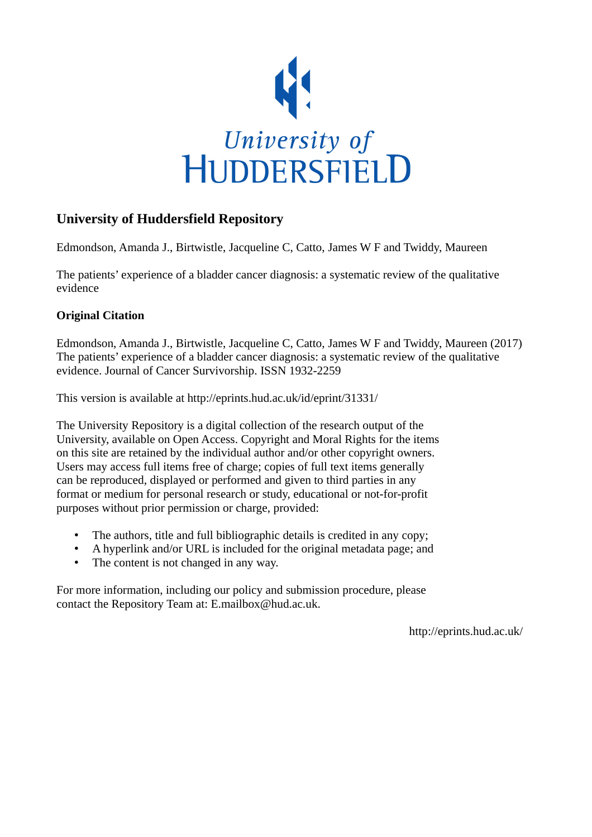

## **University of Huddersfield Repository**

Edmondson, Amanda J., Birtwistle, Jacqueline C, Catto, James W F and Twiddy, Maureen

The patients' experience of a bladder cancer diagnosis: a systematic review of the qualitative evidence

## **Original Citation**

Edmondson, Amanda J., Birtwistle, Jacqueline C, Catto, James W F and Twiddy, Maureen (2017) The patients' experience of a bladder cancer diagnosis: a systematic review of the qualitative evidence. Journal of Cancer Survivorship. ISSN 1932-2259

This version is available at http://eprints.hud.ac.uk/id/eprint/31331/

The University Repository is a digital collection of the research output of the University, available on Open Access. Copyright and Moral Rights for the items on this site are retained by the individual author and/or other copyright owners. Users may access full items free of charge; copies of full text items generally can be reproduced, displayed or performed and given to third parties in any format or medium for personal research or study, educational or not-for-profit purposes without prior permission or charge, provided:

- The authors, title and full bibliographic details is credited in any copy;
- A hyperlink and/or URL is included for the original metadata page; and
- The content is not changed in any way.

For more information, including our policy and submission procedure, please contact the Repository Team at: E.mailbox@hud.ac.uk.

http://eprints.hud.ac.uk/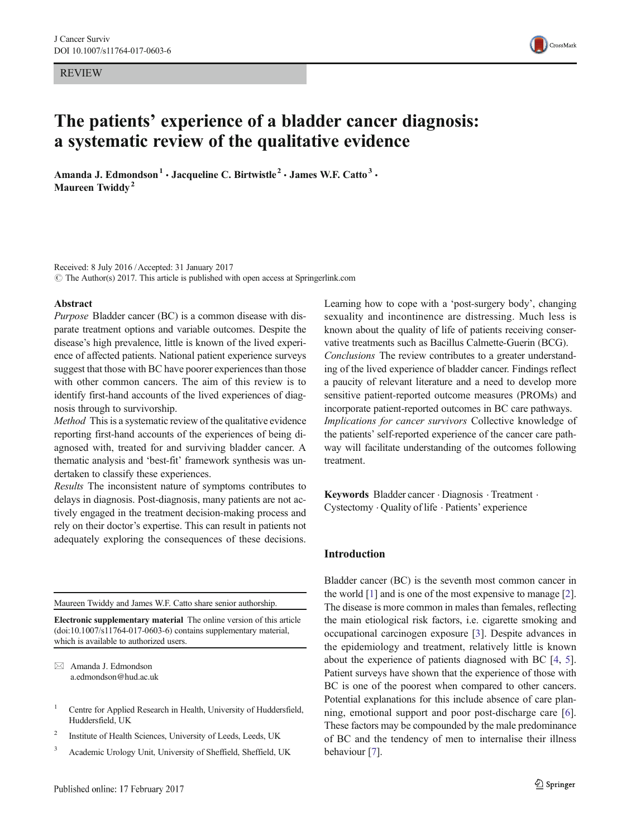REVIEW



# The patients' experience of a bladder cancer diagnosis: a systematic review of the qualitative evidence

Amanda J. Edmondson<sup>1</sup> · Jacqueline C. Birtwistle<sup>2</sup> · James W.F. Catto<sup>3</sup> · Maureen Twiddy<sup>2</sup>

Received: 8 July 2016 /Accepted: 31 January 2017  $\odot$  The Author(s) 2017. This article is published with open access at Springerlink.com

#### Abstract

Purpose Bladder cancer (BC) is a common disease with disparate treatment options and variable outcomes. Despite the disease's high prevalence, little is known of the lived experience of affected patients. National patient experience surveys suggest that those with BC have poorer experiences than those with other common cancers. The aim of this review is to identify first-hand accounts of the lived experiences of diagnosis through to survivorship.

Method This is a systematic review of the qualitative evidence reporting first-hand accounts of the experiences of being diagnosed with, treated for and surviving bladder cancer. A thematic analysis and 'best-fit' framework synthesis was undertaken to classify these experiences.

Results The inconsistent nature of symptoms contributes to delays in diagnosis. Post-diagnosis, many patients are not actively engaged in the treatment decision-making process and rely on their doctor's expertise. This can result in patients not adequately exploring the consequences of these decisions.

Maureen Twiddy and James W.F. Catto share senior authorship.

Electronic supplementary material The online version of this article (doi[:10.1007/s11764-017-0603-6\)](http://dx.doi.org/10.1007/s11764-017-0603-6) contains supplementary material, which is available to authorized users.

 $\boxtimes$  Amanda J. Edmondson a.edmondson@hud.ac.uk

- <sup>1</sup> Centre for Applied Research in Health, University of Huddersfield, Huddersfield, UK
- <sup>2</sup> Institute of Health Sciences, University of Leeds, Leeds, UK
- <sup>3</sup> Academic Urology Unit, University of Sheffield, Sheffield, UK

Learning how to cope with a 'post-surgery body', changing sexuality and incontinence are distressing. Much less is known about the quality of life of patients receiving conservative treatments such as Bacillus Calmette-Guerin (BCG). Conclusions The review contributes to a greater understanding of the lived experience of bladder cancer. Findings reflect a paucity of relevant literature and a need to develop more sensitive patient-reported outcome measures (PROMs) and incorporate patient-reported outcomes in BC care pathways. Implications for cancer survivors Collective knowledge of the patients' self-reported experience of the cancer care pathway will facilitate understanding of the outcomes following treatment.

Keywords Bladder cancer . Diagnosis . Treatment . Cystectomy . Quality of life . Patients' experience

#### Introduction

Bladder cancer (BC) is the seventh most common cancer in the world [[1](#page-8-0)] and is one of the most expensive to manage [[2\]](#page-8-0). The disease is more common in males than females, reflecting the main etiological risk factors, i.e. cigarette smoking and occupational carcinogen exposure [[3\]](#page-8-0). Despite advances in the epidemiology and treatment, relatively little is known about the experience of patients diagnosed with BC [[4,](#page-8-0) [5\]](#page-8-0). Patient surveys have shown that the experience of those with BC is one of the poorest when compared to other cancers. Potential explanations for this include absence of care planning, emotional support and poor post-discharge care [\[6\]](#page-8-0). These factors may be compounded by the male predominance of BC and the tendency of men to internalise their illness behaviour [[7\]](#page-8-0).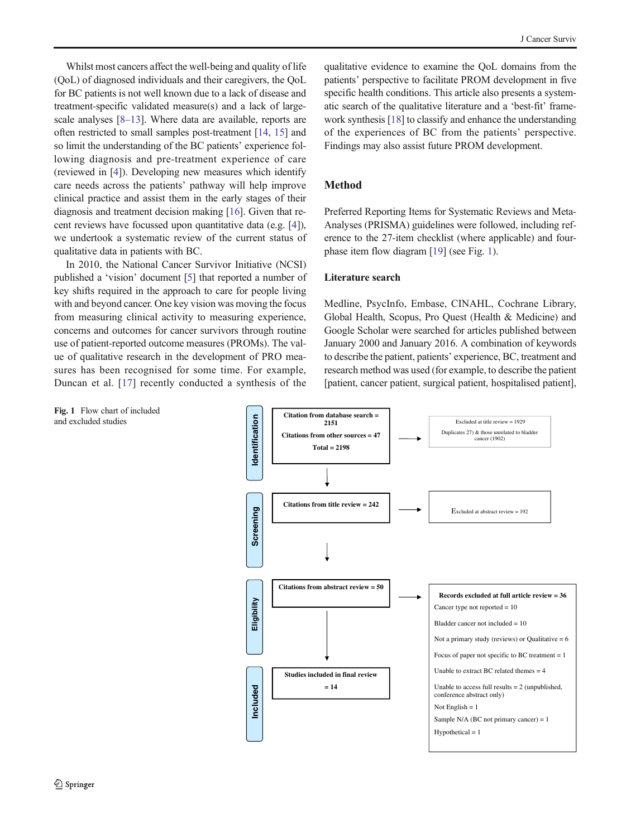<span id="page-2-0"></span>Whilst most cancers affect the well-being and quality of life (QoL) of diagnosed individuals and their caregivers, the QoL for BC patients is not well known due to a lack of disease and treatment-specific validated measure(s) and a lack of largescale analyses [\[8](#page-8-0)–[13\]](#page-8-0). Where data are available, reports are often restricted to small samples post-treatment [\[14](#page-8-0), [15\]](#page-8-0) and so limit the understanding of the BC patients' experience following diagnosis and pre-treatment experience of care (reviewed in [\[4\]](#page-8-0)). Developing new measures which identify care needs across the patients' pathway will help improve clinical practice and assist them in the early stages of their diagnosis and treatment decision making [[16](#page-8-0)]. Given that recent reviews have focussed upon quantitative data (e.g. [\[4](#page-8-0)]), we undertook a systematic review of the current status of qualitative data in patients with BC.

In 2010, the National Cancer Survivor Initiative (NCSI) published a 'vision' document [[5\]](#page-8-0) that reported a number of key shifts required in the approach to care for people living with and beyond cancer. One key vision was moving the focus from measuring clinical activity to measuring experience, concerns and outcomes for cancer survivors through routine use of patient-reported outcome measures (PROMs). The value of qualitative research in the development of PRO measures has been recognised for some time. For example, Duncan et al. [[17](#page-8-0)] recently conducted a synthesis of the

Fig. 1 Flow chart of included and excluded studies

qualitative evidence to examine the QoL domains from the patients' perspective to facilitate PROM development in five specific health conditions. This article also presents a systematic search of the qualitative literature and a 'best-fit' framework synthesis [\[18\]](#page-9-0) to classify and enhance the understanding of the experiences of BC from the patients' perspective. Findings may also assist future PROM development.

## Method

Preferred Reporting Items for Systematic Reviews and Meta-Analyses (PRISMA) guidelines were followed, including reference to the 27-item checklist (where applicable) and fourphase item flow diagram [\[19](#page-9-0)] (see Fig. 1).

## Literature search

Medline, PsycInfo, Embase, CINAHL, Cochrane Library, Global Health, Scopus, Pro Quest (Health & Medicine) and Google Scholar were searched for articles published between January 2000 and January 2016. A combination of keywords to describe the patient, patients' experience, BC, treatment and research method was used (for example, to describe the patient [patient, cancer patient, surgical patient, hospitalised patient],

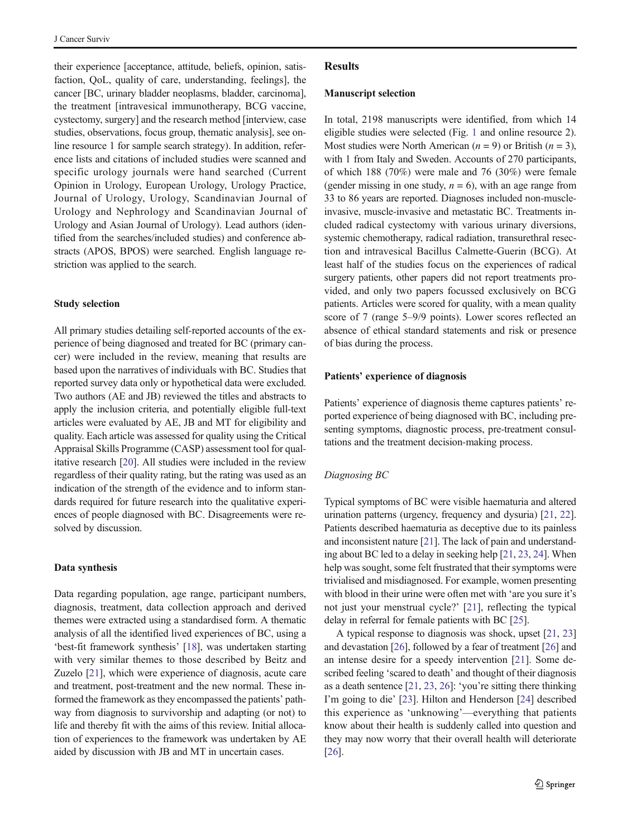their experience [acceptance, attitude, beliefs, opinion, satisfaction, QoL, quality of care, understanding, feelings], the cancer [BC, urinary bladder neoplasms, bladder, carcinoma], the treatment [intravesical immunotherapy, BCG vaccine, cystectomy, surgery] and the research method [interview, case studies, observations, focus group, thematic analysis], see online resource 1 for sample search strategy). In addition, reference lists and citations of included studies were scanned and specific urology journals were hand searched (Current Opinion in Urology, European Urology, Urology Practice, Journal of Urology, Urology, Scandinavian Journal of Urology and Nephrology and Scandinavian Journal of Urology and Asian Journal of Urology). Lead authors (identified from the searches/included studies) and conference abstracts (APOS, BPOS) were searched. English language restriction was applied to the search.

## Study selection

All primary studies detailing self-reported accounts of the experience of being diagnosed and treated for BC (primary cancer) were included in the review, meaning that results are based upon the narratives of individuals with BC. Studies that reported survey data only or hypothetical data were excluded. Two authors (AE and JB) reviewed the titles and abstracts to apply the inclusion criteria, and potentially eligible full-text articles were evaluated by AE, JB and MT for eligibility and quality. Each article was assessed for quality using the Critical Appraisal Skills Programme (CASP) assessment tool for qualitative research [\[20\]](#page-9-0). All studies were included in the review regardless of their quality rating, but the rating was used as an indication of the strength of the evidence and to inform standards required for future research into the qualitative experiences of people diagnosed with BC. Disagreements were resolved by discussion.

#### Data synthesis

Data regarding population, age range, participant numbers, diagnosis, treatment, data collection approach and derived themes were extracted using a standardised form. A thematic analysis of all the identified lived experiences of BC, using a 'best-fit framework synthesis' [\[18\]](#page-9-0), was undertaken starting with very similar themes to those described by Beitz and Zuzelo [\[21\]](#page-9-0), which were experience of diagnosis, acute care and treatment, post-treatment and the new normal. These informed the framework as they encompassed the patients' pathway from diagnosis to survivorship and adapting (or not) to life and thereby fit with the aims of this review. Initial allocation of experiences to the framework was undertaken by AE aided by discussion with JB and MT in uncertain cases.

#### Results

#### Manuscript selection

In total, 2198 manuscripts were identified, from which 14 eligible studies were selected (Fig. [1](#page-2-0) and online resource 2). Most studies were North American ( $n = 9$ ) or British ( $n = 3$ ), with 1 from Italy and Sweden. Accounts of 270 participants, of which 188 (70%) were male and 76 (30%) were female (gender missing in one study,  $n = 6$ ), with an age range from 33 to 86 years are reported. Diagnoses included non-muscleinvasive, muscle-invasive and metastatic BC. Treatments included radical cystectomy with various urinary diversions, systemic chemotherapy, radical radiation, transurethral resection and intravesical Bacillus Calmette-Guerin (BCG). At least half of the studies focus on the experiences of radical surgery patients, other papers did not report treatments provided, and only two papers focussed exclusively on BCG patients. Articles were scored for quality, with a mean quality score of 7 (range 5–9/9 points). Lower scores reflected an absence of ethical standard statements and risk or presence of bias during the process.

## Patients' experience of diagnosis

Patients' experience of diagnosis theme captures patients' reported experience of being diagnosed with BC, including presenting symptoms, diagnostic process, pre-treatment consultations and the treatment decision-making process.

## Diagnosing BC

Typical symptoms of BC were visible haematuria and altered urination patterns (urgency, frequency and dysuria) [[21](#page-9-0), [22\]](#page-9-0). Patients described haematuria as deceptive due to its painless and inconsistent nature [\[21\]](#page-9-0). The lack of pain and understanding about BC led to a delay in seeking help [\[21,](#page-9-0) [23,](#page-9-0) [24](#page-9-0)]. When help was sought, some felt frustrated that their symptoms were trivialised and misdiagnosed. For example, women presenting with blood in their urine were often met with 'are you sure it's not just your menstrual cycle?' [[21\]](#page-9-0), reflecting the typical delay in referral for female patients with BC [[25](#page-9-0)].

A typical response to diagnosis was shock, upset [\[21,](#page-9-0) [23](#page-9-0)] and devastation [\[26\]](#page-9-0), followed by a fear of treatment [[26\]](#page-9-0) and an intense desire for a speedy intervention [\[21](#page-9-0)]. Some described feeling 'scared to death' and thought of their diagnosis as a death sentence [[21](#page-9-0), [23](#page-9-0), [26\]](#page-9-0): 'you're sitting there thinking I'm going to die' [[23\]](#page-9-0). Hilton and Henderson [\[24](#page-9-0)] described this experience as 'unknowing'—everything that patients know about their health is suddenly called into question and they may now worry that their overall health will deteriorate [\[26](#page-9-0)].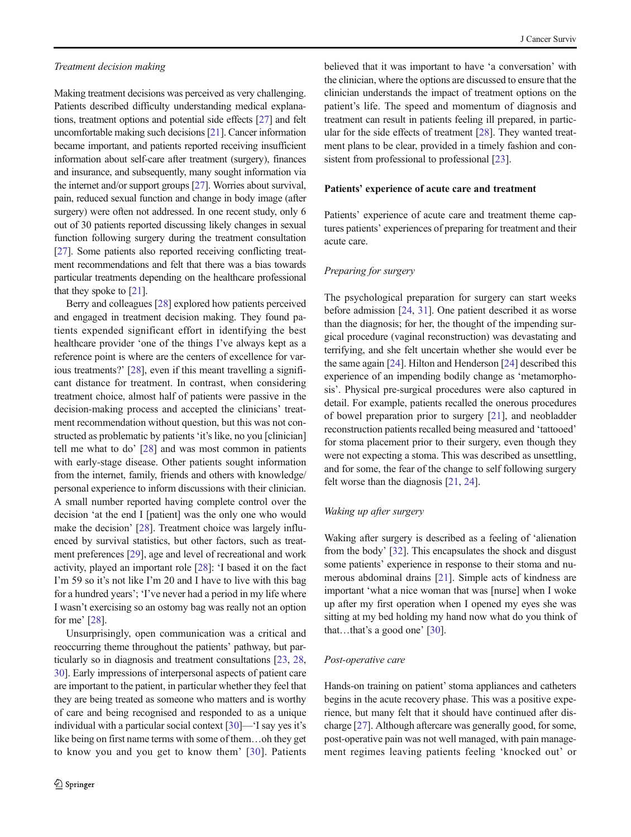Making treatment decisions was perceived as very challenging. Patients described difficulty understanding medical explanations, treatment options and potential side effects [[27](#page-9-0)] and felt uncomfortable making such decisions [[21](#page-9-0)]. Cancer information became important, and patients reported receiving insufficient information about self-care after treatment (surgery), finances and insurance, and subsequently, many sought information via the internet and/or support groups [\[27](#page-9-0)]. Worries about survival, pain, reduced sexual function and change in body image (after surgery) were often not addressed. In one recent study, only 6 out of 30 patients reported discussing likely changes in sexual function following surgery during the treatment consultation [\[27\]](#page-9-0). Some patients also reported receiving conflicting treatment recommendations and felt that there was a bias towards particular treatments depending on the healthcare professional that they spoke to [\[21](#page-9-0)].

Berry and colleagues [\[28\]](#page-9-0) explored how patients perceived and engaged in treatment decision making. They found patients expended significant effort in identifying the best healthcare provider 'one of the things I've always kept as a reference point is where are the centers of excellence for various treatments?' [\[28](#page-9-0)], even if this meant travelling a significant distance for treatment. In contrast, when considering treatment choice, almost half of patients were passive in the decision-making process and accepted the clinicians' treatment recommendation without question, but this was not constructed as problematic by patients 'it's like, no you [clinician] tell me what to do' [\[28\]](#page-9-0) and was most common in patients with early-stage disease. Other patients sought information from the internet, family, friends and others with knowledge/ personal experience to inform discussions with their clinician. A small number reported having complete control over the decision 'at the end I [patient] was the only one who would make the decision' [\[28](#page-9-0)]. Treatment choice was largely influenced by survival statistics, but other factors, such as treatment preferences [[29\]](#page-9-0), age and level of recreational and work activity, played an important role [[28](#page-9-0)]: 'I based it on the fact I'm 59 so it's not like I'm 20 and I have to live with this bag for a hundred years'; 'I've never had a period in my life where I wasn't exercising so an ostomy bag was really not an option for me' [[28](#page-9-0)].

Unsurprisingly, open communication was a critical and reoccurring theme throughout the patients' pathway, but particularly so in diagnosis and treatment consultations [[23](#page-9-0), [28,](#page-9-0) [30\]](#page-9-0). Early impressions of interpersonal aspects of patient care are important to the patient, in particular whether they feel that they are being treated as someone who matters and is worthy of care and being recognised and responded to as a unique individual with a particular social context [[30\]](#page-9-0)—'I say yes it's like being on first name terms with some of them…oh they get to know you and you get to know them' [[30](#page-9-0)]. Patients

believed that it was important to have 'a conversation' with the clinician, where the options are discussed to ensure that the clinician understands the impact of treatment options on the patient's life. The speed and momentum of diagnosis and treatment can result in patients feeling ill prepared, in particular for the side effects of treatment [\[28](#page-9-0)]. They wanted treatment plans to be clear, provided in a timely fashion and con-sistent from professional to professional [\[23](#page-9-0)].

### Patients' experience of acute care and treatment

Patients' experience of acute care and treatment theme captures patients' experiences of preparing for treatment and their acute care.

## Preparing for surgery

The psychological preparation for surgery can start weeks before admission [\[24](#page-9-0), [31](#page-9-0)]. One patient described it as worse than the diagnosis; for her, the thought of the impending surgical procedure (vaginal reconstruction) was devastating and terrifying, and she felt uncertain whether she would ever be the same again [\[24](#page-9-0)]. Hilton and Henderson [\[24\]](#page-9-0) described this experience of an impending bodily change as 'metamorphosis'. Physical pre-surgical procedures were also captured in detail. For example, patients recalled the onerous procedures of bowel preparation prior to surgery [[21](#page-9-0)], and neobladder reconstruction patients recalled being measured and 'tattooed' for stoma placement prior to their surgery, even though they were not expecting a stoma. This was described as unsettling, and for some, the fear of the change to self following surgery felt worse than the diagnosis [\[21](#page-9-0), [24](#page-9-0)].

#### Waking up after surgery

Waking after surgery is described as a feeling of 'alienation from the body' [[32](#page-9-0)]. This encapsulates the shock and disgust some patients' experience in response to their stoma and numerous abdominal drains [[21\]](#page-9-0). Simple acts of kindness are important 'what a nice woman that was [nurse] when I woke up after my first operation when I opened my eyes she was sitting at my bed holding my hand now what do you think of that…that's a good one' [\[30\]](#page-9-0).

#### Post-operative care

Hands-on training on patient' stoma appliances and catheters begins in the acute recovery phase. This was a positive experience, but many felt that it should have continued after discharge [\[27\]](#page-9-0). Although aftercare was generally good, for some, post-operative pain was not well managed, with pain management regimes leaving patients feeling 'knocked out' or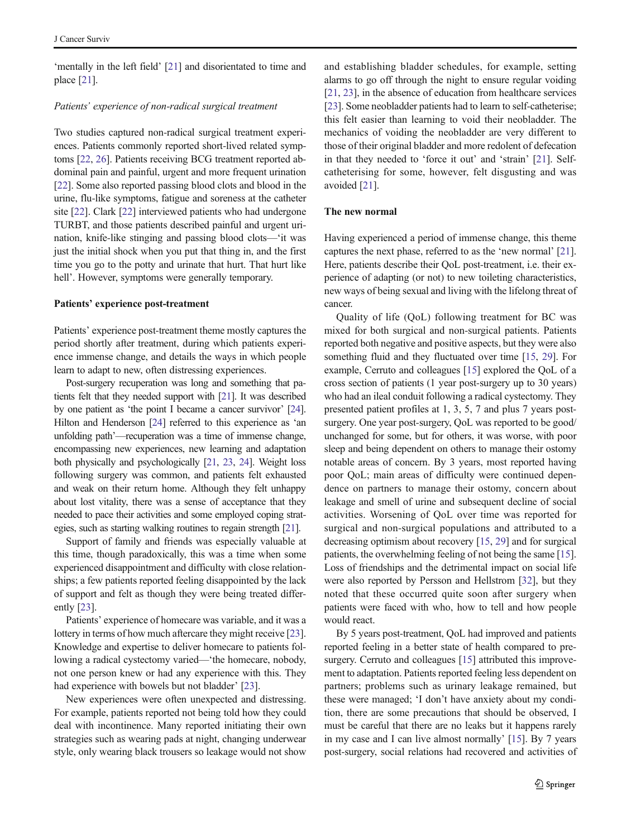'mentally in the left field' [[21](#page-9-0)] and disorientated to time and place [\[21\]](#page-9-0).

## Patients' experience of non-radical surgical treatment

Two studies captured non-radical surgical treatment experiences. Patients commonly reported short-lived related symptoms [[22](#page-9-0), [26](#page-9-0)]. Patients receiving BCG treatment reported abdominal pain and painful, urgent and more frequent urination [\[22\]](#page-9-0). Some also reported passing blood clots and blood in the urine, flu-like symptoms, fatigue and soreness at the catheter site [\[22\]](#page-9-0). Clark [\[22](#page-9-0)] interviewed patients who had undergone TURBT, and those patients described painful and urgent urination, knife-like stinging and passing blood clots—'it was just the initial shock when you put that thing in, and the first time you go to the potty and urinate that hurt. That hurt like hell'. However, symptoms were generally temporary.

#### Patients' experience post-treatment

Patients' experience post-treatment theme mostly captures the period shortly after treatment, during which patients experience immense change, and details the ways in which people learn to adapt to new, often distressing experiences.

Post-surgery recuperation was long and something that patients felt that they needed support with [\[21](#page-9-0)]. It was described by one patient as 'the point I became a cancer survivor' [\[24\]](#page-9-0). Hilton and Henderson [[24](#page-9-0)] referred to this experience as 'an unfolding path'—recuperation was a time of immense change, encompassing new experiences, new learning and adaptation both physically and psychologically [\[21,](#page-9-0) [23,](#page-9-0) [24](#page-9-0)]. Weight loss following surgery was common, and patients felt exhausted and weak on their return home. Although they felt unhappy about lost vitality, there was a sense of acceptance that they needed to pace their activities and some employed coping strategies, such as starting walking routines to regain strength [[21\]](#page-9-0).

Support of family and friends was especially valuable at this time, though paradoxically, this was a time when some experienced disappointment and difficulty with close relationships; a few patients reported feeling disappointed by the lack of support and felt as though they were being treated differently [\[23\]](#page-9-0).

Patients' experience of homecare was variable, and it was a lottery in terms of how much aftercare they might receive [[23\]](#page-9-0). Knowledge and expertise to deliver homecare to patients following a radical cystectomy varied—'the homecare, nobody, not one person knew or had any experience with this. They had experience with bowels but not bladder' [[23](#page-9-0)].

New experiences were often unexpected and distressing. For example, patients reported not being told how they could deal with incontinence. Many reported initiating their own strategies such as wearing pads at night, changing underwear style, only wearing black trousers so leakage would not show

and establishing bladder schedules, for example, setting alarms to go off through the night to ensure regular voiding [\[21](#page-9-0), [23\]](#page-9-0), in the absence of education from healthcare services [\[23](#page-9-0)]. Some neobladder patients had to learn to self-catheterise; this felt easier than learning to void their neobladder. The mechanics of voiding the neobladder are very different to those of their original bladder and more redolent of defecation in that they needed to 'force it out' and 'strain' [\[21](#page-9-0)]. Selfcatheterising for some, however, felt disgusting and was avoided [[21](#page-9-0)].

## The new normal

Having experienced a period of immense change, this theme captures the next phase, referred to as the 'new normal' [[21\]](#page-9-0). Here, patients describe their QoL post-treatment, i.e. their experience of adapting (or not) to new toileting characteristics, new ways of being sexual and living with the lifelong threat of cancer.

Quality of life (QoL) following treatment for BC was mixed for both surgical and non-surgical patients. Patients reported both negative and positive aspects, but they were also something fluid and they fluctuated over time [\[15,](#page-8-0) [29\]](#page-9-0). For example, Cerruto and colleagues [[15](#page-8-0)] explored the QoL of a cross section of patients (1 year post-surgery up to 30 years) who had an ileal conduit following a radical cystectomy. They presented patient profiles at 1, 3, 5, 7 and plus 7 years postsurgery. One year post-surgery, QoL was reported to be good/ unchanged for some, but for others, it was worse, with poor sleep and being dependent on others to manage their ostomy notable areas of concern. By 3 years, most reported having poor QoL; main areas of difficulty were continued dependence on partners to manage their ostomy, concern about leakage and smell of urine and subsequent decline of social activities. Worsening of QoL over time was reported for surgical and non-surgical populations and attributed to a decreasing optimism about recovery [\[15,](#page-8-0) [29\]](#page-9-0) and for surgical patients, the overwhelming feeling of not being the same [[15\]](#page-8-0). Loss of friendships and the detrimental impact on social life were also reported by Persson and Hellstrom [[32\]](#page-9-0), but they noted that these occurred quite soon after surgery when patients were faced with who, how to tell and how people would react.

By 5 years post-treatment, QoL had improved and patients reported feeling in a better state of health compared to pre-surgery. Cerruto and colleagues [\[15\]](#page-8-0) attributed this improvement to adaptation. Patients reported feeling less dependent on partners; problems such as urinary leakage remained, but these were managed; 'I don't have anxiety about my condition, there are some precautions that should be observed, I must be careful that there are no leaks but it happens rarely in my case and I can live almost normally' [[15\]](#page-8-0). By 7 years post-surgery, social relations had recovered and activities of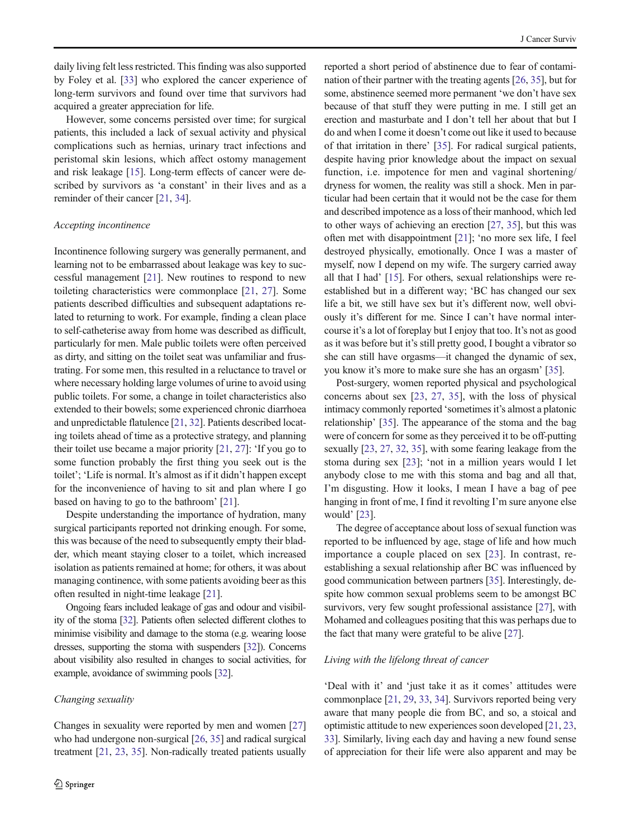daily living felt less restricted. This finding was also supported by Foley et al. [[33\]](#page-9-0) who explored the cancer experience of long-term survivors and found over time that survivors had acquired a greater appreciation for life.

However, some concerns persisted over time; for surgical patients, this included a lack of sexual activity and physical complications such as hernias, urinary tract infections and peristomal skin lesions, which affect ostomy management and risk leakage [\[15](#page-8-0)]. Long-term effects of cancer were described by survivors as 'a constant' in their lives and as a reminder of their cancer [\[21](#page-9-0), [34\]](#page-9-0).

#### Accepting incontinence

Incontinence following surgery was generally permanent, and learning not to be embarrassed about leakage was key to successful management [[21\]](#page-9-0). New routines to respond to new toileting characteristics were commonplace [\[21](#page-9-0), [27](#page-9-0)]. Some patients described difficulties and subsequent adaptations related to returning to work. For example, finding a clean place to self-catheterise away from home was described as difficult, particularly for men. Male public toilets were often perceived as dirty, and sitting on the toilet seat was unfamiliar and frustrating. For some men, this resulted in a reluctance to travel or where necessary holding large volumes of urine to avoid using public toilets. For some, a change in toilet characteristics also extended to their bowels; some experienced chronic diarrhoea and unpredictable flatulence [\[21](#page-9-0), [32](#page-9-0)]. Patients described locating toilets ahead of time as a protective strategy, and planning their toilet use became a major priority [\[21,](#page-9-0) [27\]](#page-9-0): 'If you go to some function probably the first thing you seek out is the toilet'; 'Life is normal. It's almost as if it didn't happen except for the inconvenience of having to sit and plan where I go based on having to go to the bathroom' [[21\]](#page-9-0).

Despite understanding the importance of hydration, many surgical participants reported not drinking enough. For some, this was because of the need to subsequently empty their bladder, which meant staying closer to a toilet, which increased isolation as patients remained at home; for others, it was about managing continence, with some patients avoiding beer as this often resulted in night-time leakage [[21\]](#page-9-0).

Ongoing fears included leakage of gas and odour and visibility of the stoma [\[32](#page-9-0)]. Patients often selected different clothes to minimise visibility and damage to the stoma (e.g. wearing loose dresses, supporting the stoma with suspenders [\[32](#page-9-0)]). Concerns about visibility also resulted in changes to social activities, for example, avoidance of swimming pools [[32\]](#page-9-0).

#### Changing sexuality

Changes in sexuality were reported by men and women [\[27\]](#page-9-0) who had undergone non-surgical [[26,](#page-9-0) [35](#page-9-0)] and radical surgical treatment [\[21](#page-9-0), [23,](#page-9-0) [35\]](#page-9-0). Non-radically treated patients usually reported a short period of abstinence due to fear of contamination of their partner with the treating agents [[26](#page-9-0), [35\]](#page-9-0), but for some, abstinence seemed more permanent 'we don't have sex because of that stuff they were putting in me. I still get an erection and masturbate and I don't tell her about that but I do and when I come it doesn't come out like it used to because of that irritation in there' [[35](#page-9-0)]. For radical surgical patients, despite having prior knowledge about the impact on sexual function, i.e. impotence for men and vaginal shortening/ dryness for women, the reality was still a shock. Men in particular had been certain that it would not be the case for them and described impotence as a loss of their manhood, which led to other ways of achieving an erection [\[27](#page-9-0), [35](#page-9-0)], but this was often met with disappointment [\[21](#page-9-0)]; 'no more sex life, I feel destroyed physically, emotionally. Once I was a master of myself, now I depend on my wife. The surgery carried away all that I had' [[15](#page-8-0)]. For others, sexual relationships were reestablished but in a different way; 'BC has changed our sex life a bit, we still have sex but it's different now, well obviously it's different for me. Since I can't have normal intercourse it's a lot of foreplay but I enjoy that too. It's not as good as it was before but it's still pretty good, I bought a vibrator so she can still have orgasms—it changed the dynamic of sex, you know it's more to make sure she has an orgasm' [[35\]](#page-9-0).

Post-surgery, women reported physical and psychological concerns about sex [\[23,](#page-9-0) [27](#page-9-0), [35\]](#page-9-0), with the loss of physical intimacy commonly reported 'sometimes it's almost a platonic relationship' [\[35\]](#page-9-0). The appearance of the stoma and the bag were of concern for some as they perceived it to be off-putting sexually [\[23,](#page-9-0) [27,](#page-9-0) [32](#page-9-0), [35](#page-9-0)], with some fearing leakage from the stoma during sex [\[23](#page-9-0)]; 'not in a million years would I let anybody close to me with this stoma and bag and all that, I'm disgusting. How it looks, I mean I have a bag of pee hanging in front of me, I find it revolting I'm sure anyone else would' [\[23](#page-9-0)].

The degree of acceptance about loss of sexual function was reported to be influenced by age, stage of life and how much importance a couple placed on sex [\[23\]](#page-9-0). In contrast, reestablishing a sexual relationship after BC was influenced by good communication between partners [[35](#page-9-0)]. Interestingly, despite how common sexual problems seem to be amongst BC survivors, very few sought professional assistance [[27](#page-9-0)], with Mohamed and colleagues positing that this was perhaps due to the fact that many were grateful to be alive [\[27](#page-9-0)].

## Living with the lifelong threat of cancer

'Deal with it' and 'just take it as it comes' attitudes were commonplace [\[21,](#page-9-0) [29,](#page-9-0) [33](#page-9-0), [34](#page-9-0)]. Survivors reported being very aware that many people die from BC, and so, a stoical and optimistic attitude to new experiences soon developed [[21,](#page-9-0) [23,](#page-9-0) [33\]](#page-9-0). Similarly, living each day and having a new found sense of appreciation for their life were also apparent and may be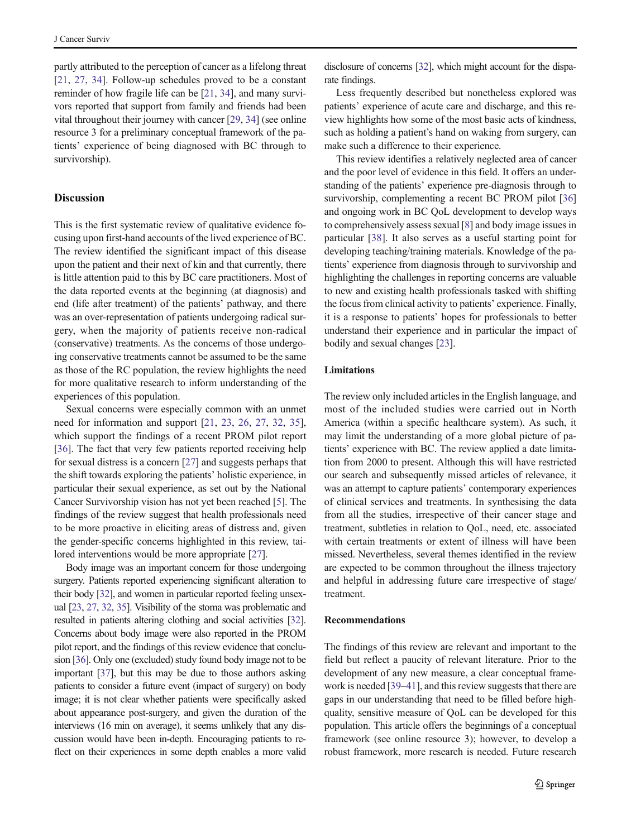partly attributed to the perception of cancer as a lifelong threat [\[21](#page-9-0), [27](#page-9-0), [34](#page-9-0)]. Follow-up schedules proved to be a constant reminder of how fragile life can be [[21,](#page-9-0) [34](#page-9-0)], and many survivors reported that support from family and friends had been vital throughout their journey with cancer [\[29](#page-9-0), [34\]](#page-9-0) (see online resource 3 for a preliminary conceptual framework of the patients' experience of being diagnosed with BC through to survivorship).

## **Discussion**

This is the first systematic review of qualitative evidence focusing upon first-hand accounts of the lived experience of BC. The review identified the significant impact of this disease upon the patient and their next of kin and that currently, there is little attention paid to this by BC care practitioners. Most of the data reported events at the beginning (at diagnosis) and end (life after treatment) of the patients' pathway, and there was an over-representation of patients undergoing radical surgery, when the majority of patients receive non-radical (conservative) treatments. As the concerns of those undergoing conservative treatments cannot be assumed to be the same as those of the RC population, the review highlights the need for more qualitative research to inform understanding of the experiences of this population.

Sexual concerns were especially common with an unmet need for information and support [[21,](#page-9-0) [23,](#page-9-0) [26](#page-9-0), [27](#page-9-0), [32](#page-9-0), [35](#page-9-0)], which support the findings of a recent PROM pilot report [\[36\]](#page-9-0). The fact that very few patients reported receiving help for sexual distress is a concern [[27\]](#page-9-0) and suggests perhaps that the shift towards exploring the patients' holistic experience, in particular their sexual experience, as set out by the National Cancer Survivorship vision has not yet been reached [\[5\]](#page-8-0). The findings of the review suggest that health professionals need to be more proactive in eliciting areas of distress and, given the gender-specific concerns highlighted in this review, tailored interventions would be more appropriate [[27](#page-9-0)].

Body image was an important concern for those undergoing surgery. Patients reported experiencing significant alteration to their body [\[32](#page-9-0)], and women in particular reported feeling unsexual [[23](#page-9-0), [27](#page-9-0), [32](#page-9-0), [35](#page-9-0)]. Visibility of the stoma was problematic and resulted in patients altering clothing and social activities [\[32\]](#page-9-0). Concerns about body image were also reported in the PROM pilot report, and the findings of this review evidence that conclusion [\[36\]](#page-9-0). Only one (excluded) study found body image not to be important [[37](#page-9-0)], but this may be due to those authors asking patients to consider a future event (impact of surgery) on body image; it is not clear whether patients were specifically asked about appearance post-surgery, and given the duration of the interviews (16 min on average), it seems unlikely that any discussion would have been in-depth. Encouraging patients to reflect on their experiences in some depth enables a more valid

disclosure of concerns [\[32\]](#page-9-0), which might account for the disparate findings.

Less frequently described but nonetheless explored was patients' experience of acute care and discharge, and this review highlights how some of the most basic acts of kindness, such as holding a patient's hand on waking from surgery, can make such a difference to their experience.

This review identifies a relatively neglected area of cancer and the poor level of evidence in this field. It offers an understanding of the patients' experience pre-diagnosis through to survivorship, complementing a recent BC PROM pilot [\[36](#page-9-0)] and ongoing work in BC QoL development to develop ways to comprehensively assess sexual [[8\]](#page-8-0) and body image issues in particular [[38\]](#page-9-0). It also serves as a useful starting point for developing teaching/training materials. Knowledge of the patients' experience from diagnosis through to survivorship and highlighting the challenges in reporting concerns are valuable to new and existing health professionals tasked with shifting the focus from clinical activity to patients' experience. Finally, it is a response to patients' hopes for professionals to better understand their experience and in particular the impact of bodily and sexual changes [[23\]](#page-9-0).

## Limitations

The review only included articles in the English language, and most of the included studies were carried out in North America (within a specific healthcare system). As such, it may limit the understanding of a more global picture of patients' experience with BC. The review applied a date limitation from 2000 to present. Although this will have restricted our search and subsequently missed articles of relevance, it was an attempt to capture patients' contemporary experiences of clinical services and treatments. In synthesising the data from all the studies, irrespective of their cancer stage and treatment, subtleties in relation to QoL, need, etc. associated with certain treatments or extent of illness will have been missed. Nevertheless, several themes identified in the review are expected to be common throughout the illness trajectory and helpful in addressing future care irrespective of stage/ treatment.

## Recommendations

The findings of this review are relevant and important to the field but reflect a paucity of relevant literature. Prior to the development of any new measure, a clear conceptual framework is needed [[39](#page-9-0)–[41](#page-9-0)], and this review suggests that there are gaps in our understanding that need to be filled before highquality, sensitive measure of QoL can be developed for this population. This article offers the beginnings of a conceptual framework (see online resource 3); however, to develop a robust framework, more research is needed. Future research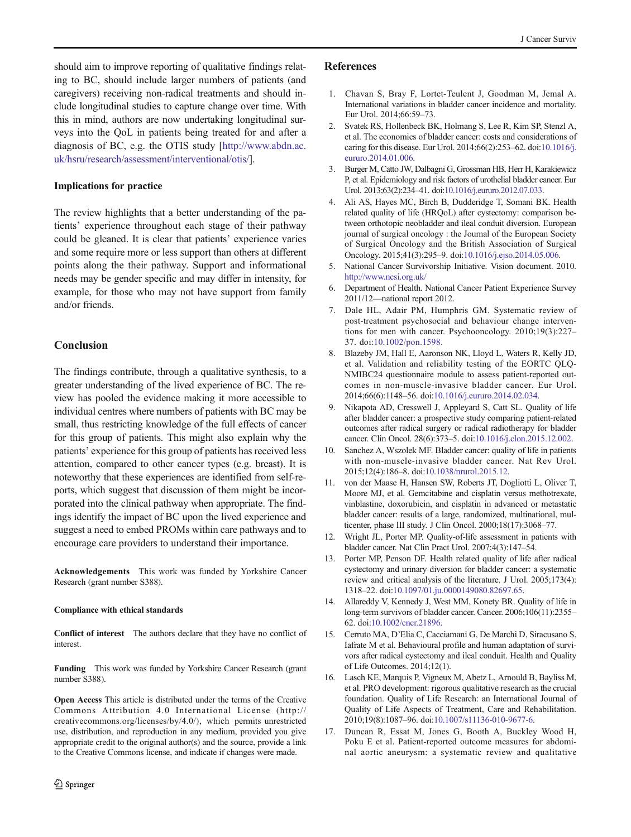<span id="page-8-0"></span>should aim to improve reporting of qualitative findings relating to BC, should include larger numbers of patients (and caregivers) receiving non-radical treatments and should include longitudinal studies to capture change over time. With this in mind, authors are now undertaking longitudinal surveys into the QoL in patients being treated for and after a diagnosis of BC, e.g. the OTIS study [\[http://www.abdn.ac.](http://www.abdn.ac.uk/hsru/research/assessment/interventional/otis/) [uk/hsru/research/assessment/interventional/otis/](http://www.abdn.ac.uk/hsru/research/assessment/interventional/otis/)].

## Implications for practice

The review highlights that a better understanding of the patients' experience throughout each stage of their pathway could be gleaned. It is clear that patients' experience varies and some require more or less support than others at different points along the their pathway. Support and informational needs may be gender specific and may differ in intensity, for example, for those who may not have support from family and/or friends.

## Conclusion

The findings contribute, through a qualitative synthesis, to a greater understanding of the lived experience of BC. The review has pooled the evidence making it more accessible to individual centres where numbers of patients with BC may be small, thus restricting knowledge of the full effects of cancer for this group of patients. This might also explain why the patients' experience for this group of patients has received less attention, compared to other cancer types (e.g. breast). It is noteworthy that these experiences are identified from self-reports, which suggest that discussion of them might be incorporated into the clinical pathway when appropriate. The findings identify the impact of BC upon the lived experience and suggest a need to embed PROMs within care pathways and to encourage care providers to understand their importance.

Acknowledgements This work was funded by Yorkshire Cancer Research (grant number S388).

#### Compliance with ethical standards

Conflict of interest The authors declare that they have no conflict of interest.

Funding This work was funded by Yorkshire Cancer Research (grant number S388).

Open Access This article is distributed under the terms of the Creative Commons Attribution 4.0 International License (http:// creativecommons.org/licenses/by/4.0/), which permits unrestricted use, distribution, and reproduction in any medium, provided you give appropriate credit to the original author(s) and the source, provide a link to the Creative Commons license, and indicate if changes were made.

#### References

- 1. Chavan S, Bray F, Lortet-Teulent J, Goodman M, Jemal A. International variations in bladder cancer incidence and mortality. Eur Urol. 2014;66:59–73.
- 2. Svatek RS, Hollenbeck BK, Holmang S, Lee R, Kim SP, Stenzl A, et al. The economics of bladder cancer: costs and considerations of caring for this disease. Eur Urol. 2014;66(2):253–62. doi:[10.1016/j.](http://dx.doi.org/10.1016/j.eururo.2014.01.006) [eururo.2014.01.006.](http://dx.doi.org/10.1016/j.eururo.2014.01.006)
- 3. Burger M, Catto JW, Dalbagni G, Grossman HB, Herr H, Karakiewicz P, et al. Epidemiology and risk factors of urothelial bladder cancer. Eur Urol. 2013;63(2):234–41. doi:[10.1016/j.eururo.2012.07.033.](http://dx.doi.org/10.1016/j.eururo.2012.07.033)
- 4. Ali AS, Hayes MC, Birch B, Dudderidge T, Somani BK. Health related quality of life (HRQoL) after cystectomy: comparison between orthotopic neobladder and ileal conduit diversion. European journal of surgical oncology : the Journal of the European Society of Surgical Oncology and the British Association of Surgical Oncology. 2015;41(3):295–9. doi:[10.1016/j.ejso.2014.05.006](http://dx.doi.org/10.1016/j.ejso.2014.05.006).
- 5. National Cancer Survivorship Initiative. Vision document. 2010. <http://www.ncsi.org.uk/>
- 6. Department of Health. National Cancer Patient Experience Survey 2011/12—national report 2012.
- 7. Dale HL, Adair PM, Humphris GM. Systematic review of post-treatment psychosocial and behaviour change interventions for men with cancer. Psychooncology. 2010;19(3):227– 37. doi:[10.1002/pon.1598](http://dx.doi.org/10.1002/pon.1598).
- 8. Blazeby JM, Hall E, Aaronson NK, Lloyd L, Waters R, Kelly JD, et al. Validation and reliability testing of the EORTC QLQ-NMIBC24 questionnaire module to assess patient-reported outcomes in non-muscle-invasive bladder cancer. Eur Urol. 2014;66(6):1148–56. doi:[10.1016/j.eururo.2014.02.034](http://dx.doi.org/10.1016/j.eururo.2014.02.034).
- 9. Nikapota AD, Cresswell J, Appleyard S, Catt SL. Quality of life after bladder cancer: a prospective study comparing patient-related outcomes after radical surgery or radical radiotherapy for bladder cancer. Clin Oncol. 28(6):373–5. doi:[10.1016/j.clon.2015.12.002](http://dx.doi.org/10.1016/j.clon.2015.12.002).
- 10. Sanchez A, Wszolek MF. Bladder cancer: quality of life in patients with non-muscle-invasive bladder cancer. Nat Rev Urol. 2015;12(4):186–8. doi[:10.1038/nrurol.2015.12](http://dx.doi.org/10.1038/nrurol.2015.12).
- 11. von der Maase H, Hansen SW, Roberts JT, Dogliotti L, Oliver T, Moore MJ, et al. Gemcitabine and cisplatin versus methotrexate, vinblastine, doxorubicin, and cisplatin in advanced or metastatic bladder cancer: results of a large, randomized, multinational, multicenter, phase III study. J Clin Oncol. 2000;18(17):3068–77.
- 12. Wright JL, Porter MP. Quality-of-life assessment in patients with bladder cancer. Nat Clin Pract Urol. 2007;4(3):147–54.
- 13. Porter MP, Penson DF. Health related quality of life after radical cystectomy and urinary diversion for bladder cancer: a systematic review and critical analysis of the literature. J Urol. 2005;173(4): 1318–22. doi[:10.1097/01.ju.0000149080.82697.65](http://dx.doi.org/10.1097/01.ju.0000149080.82697.65).
- 14. Allareddy V, Kennedy J, West MM, Konety BR. Quality of life in long-term survivors of bladder cancer. Cancer. 2006;106(11):2355– 62. doi[:10.1002/cncr.21896.](http://dx.doi.org/10.1002/cncr.21896)
- 15. Cerruto MA, D'Elia C, Cacciamani G, De Marchi D, Siracusano S, Iafrate M et al. Behavioural profile and human adaptation of survivors after radical cystectomy and ileal conduit. Health and Quality of Life Outcomes. 2014;12(1).
- 16. Lasch KE, Marquis P, Vigneux M, Abetz L, Arnould B, Bayliss M, et al. PRO development: rigorous qualitative research as the crucial foundation. Quality of Life Research: an International Journal of Quality of Life Aspects of Treatment, Care and Rehabilitation. 2010;19(8):1087–96. doi:[10.1007/s11136-010-9677-6](http://dx.doi.org/10.1007/s11136-010-9677-6).
- 17. Duncan R, Essat M, Jones G, Booth A, Buckley Wood H, Poku E et al. Patient-reported outcome measures for abdominal aortic aneurysm: a systematic review and qualitative